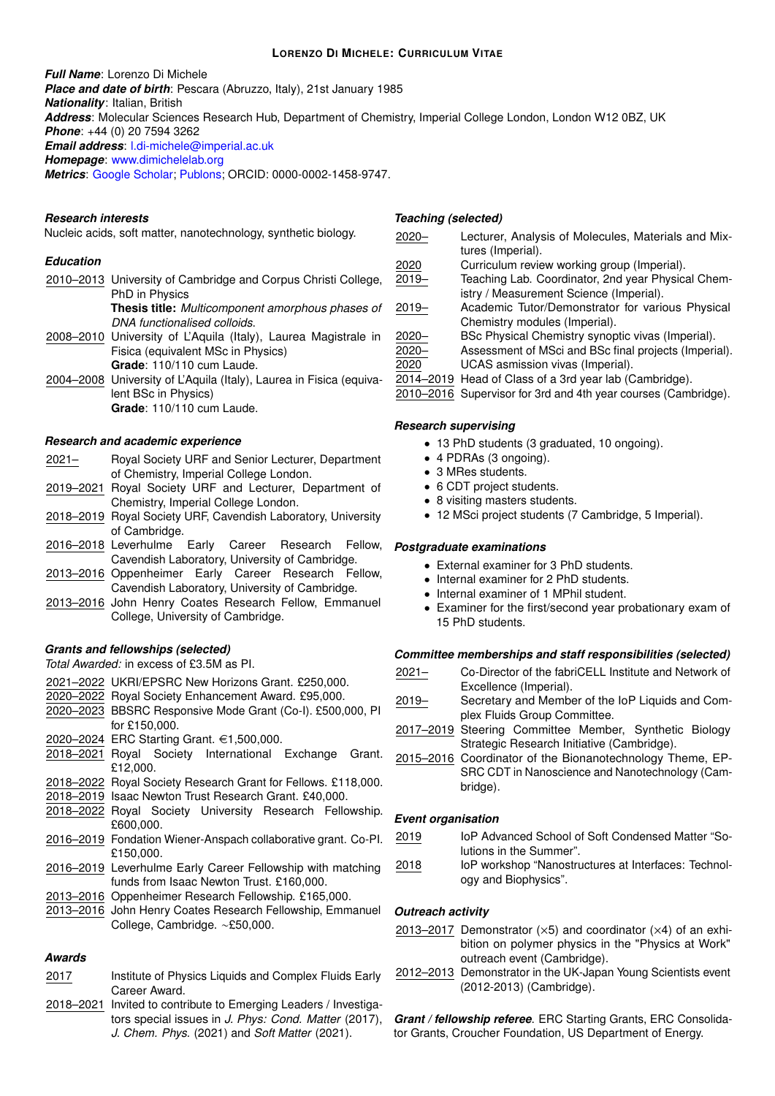#### **LORENZO DI MICHELE: CURRICULUM VITAE**

*Full Name*: Lorenzo Di Michele

*Place and date of birth*: Pescara (Abruzzo, Italy), 21st January 1985

*Nationality*: Italian, British

*Address*: Molecular Sciences Research Hub, Department of Chemistry, Imperial College London, London W12 0BZ, UK

*Phone*: +44 (0) 20 7594 3262

*Email address*: [l.di-michele@imperial.ac.uk](mailto:l.di-michele@imperial.ac.uk)

*Homepage*: [www.dimichelelab.org](https://www.dimichelelab.org/)

*Metrics*: [Google Scholar;](https://scholar.google.com/citations?user=_9mt0uQAAAAJ&hl=en) [Publons;](https://publons.com/author/507531/lorenzo-di-michele#profile) ORCID: 0000-0002-1458-9747.

## *Research interests*

Nucleic acids, soft matter, nanotechnology, synthetic biology.

## *Education*

2010–2013 University of Cambridge and Corpus Christi College, PhD in Physics **Thesis title:** *Multicomponent amorphous phases of DNA functionalised colloids*. 2008–2010 University of L'Aquila (Italy), Laurea Magistrale in Fisica (equivalent MSc in Physics) **Grade**: 110/110 cum Laude. 2004–2008 University of L'Aquila (Italy), Laurea in Fisica (equivalent BSc in Physics) **Grade**: 110/110 cum Laude.

### *Research and academic experience*

- 2021– Royal Society URF and Senior Lecturer, Department of Chemistry, Imperial College London.
- 2019–2021 Royal Society URF and Lecturer, Department of Chemistry, Imperial College London.
- 2018–2019 Royal Society URF, Cavendish Laboratory, University of Cambridge.
- 2016–2018 Leverhulme Early Career Research Fellow, Cavendish Laboratory, University of Cambridge.
- 2013–2016 Oppenheimer Early Career Research Fellow, Cavendish Laboratory, University of Cambridge.
- 2013–2016 John Henry Coates Research Fellow, Emmanuel College, University of Cambridge.

### *Grants and fellowships (selected)*

*Total Awarded:* in excess of £3.5M as PI.

|  |  | 2021-2022 UKRI/EPSRC New Horizons Grant. £250,000. |
|--|--|----------------------------------------------------|
|--|--|----------------------------------------------------|

- 2020–2022 Royal Society Enhancement Award. £95,000.
- 2020–2023 BBSRC Responsive Mode Grant (Co-I). £500,000, PI for £150,000.

2020–2024 ERC Starting Grant. €1,500,000.

- 2018–2021 Royal Society International Exchange Grant. £12,000.
- 2018–2022 Royal Society Research Grant for Fellows. £118,000.
- 2018–2019 Isaac Newton Trust Research Grant. £40,000.
- 2018–2022 Royal Society University Research Fellowship. £600,000.
- 2016–2019 Fondation Wiener-Anspach collaborative grant. Co-PI. £150,000.
- 2016–2019 Leverhulme Early Career Fellowship with matching funds from Isaac Newton Trust. £160,000.
- 2013–2016 Oppenheimer Research Fellowship. £165,000.
- 2013–2016 John Henry Coates Research Fellowship, Emmanuel College, Cambridge. ∼£50,000.

# *Awards*

- 2017 Institute of Physics Liquids and Complex Fluids Early Career Award.
- 2018–2021 Invited to contribute to Emerging Leaders / Investigators special issues in *J. Phys: Cond. Matter* (2017), *J. Chem. Phys.* (2021) and *Soft Matter* (2021).

## *Teaching (selected)*

2020– Lecturer, Analysis of Molecules, Materials and Mixtures (Imperial). 2020 Curriculum review working group (Imperial).<br>2019 - Teaching Lab. Coordinator, 2nd year Physic. Teaching Lab. Coordinator, 2nd year Physical Chemistry / Measurement Science (Imperial). 2019– Academic Tutor/Demonstrator for various Physical Chemistry modules (Imperial). 2020– BSc Physical Chemistry synoptic vivas (Imperial). 2020– Assessment of MSci and BSc final projects (Imperial). 2020 UCAS asmission vivas (Imperial). 2014–2019 Head of Class of a 3rd year lab (Cambridge).

2010–2016 Supervisor for 3rd and 4th year courses (Cambridge).

## *Research supervising*

- 13 PhD students (3 graduated, 10 ongoing).
- 4 PDRAs (3 ongoing).
- 3 MRes students.
- 6 CDT project students.
- 8 visiting masters students.
- 12 MSci project students (7 Cambridge, 5 Imperial).

### *Postgraduate examinations*

- External examiner for 3 PhD students.
- Internal examiner for 2 PhD students.
- Internal examiner of 1 MPhil student.
- Examiner for the first/second year probationary exam of 15 PhD students.

### *Committee memberships and staff responsibilities (selected)*

- 2021– Co-Director of the fabriCELL Institute and Network of Excellence (Imperial).
- 2019– Secretary and Member of the IoP Liquids and Complex Fluids Group Committee.
- 2017–2019 Steering Committee Member, Synthetic Biology Strategic Research Initiative (Cambridge).
- 2015–2016 Coordinator of the Bionanotechnology Theme, EP-SRC CDT in Nanoscience and Nanotechnology (Cambridge).

## *Event organisation*

- 2019 IoP Advanced School of Soft Condensed Matter "Solutions in the Summer".
- 2018 IoP workshop "Nanostructures at Interfaces: Technology and Biophysics".

### *Outreach activity*

- 2013–2017 Demonstrator  $(x5)$  and coordinator  $(x4)$  of an exhibition on polymer physics in the "Physics at Work" outreach event (Cambridge).
- 2012–2013 Demonstrator in the UK-Japan Young Scientists event (2012-2013) (Cambridge).

*Grant / fellowship referee*. ERC Starting Grants, ERC Consolidator Grants, Croucher Foundation, US Department of Energy.